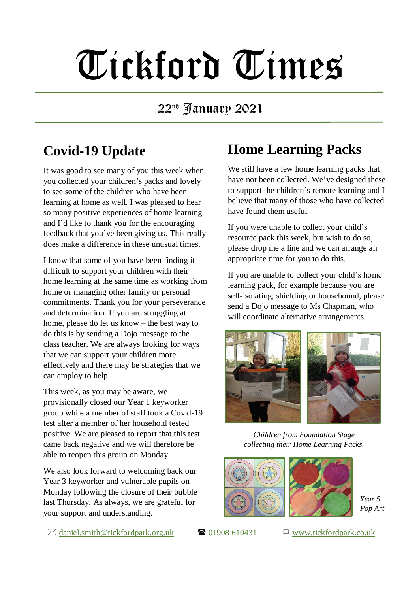# Tickford Times

#### 22nd January 2021

## **Covid-19 Update**

It was good to see many of you this week when you collected your children's packs and lovely to see some of the children who have been learning at home as well. I was pleased to hear so many positive experiences of home learning and I'd like to thank you for the encouraging feedback that you've been giving us. This really does make a difference in these unusual times.

I know that some of you have been finding it difficult to support your children with their home learning at the same time as working from home or managing other family or personal commitments. Thank you for your perseverance and determination. If you are struggling at home, please do let us know – the best way to do this is by sending a Dojo message to the class teacher. We are always looking for ways that we can support your children more effectively and there may be strategies that we can employ to help.

This week, as you may be aware, we provisionally closed our Year 1 keyworker group while a member of staff took a Covid-19 test after a member of her household tested positive. We are pleased to report that this test came back negative and we will therefore be able to reopen this group on Monday.

We also look forward to welcoming back our Year 3 keyworker and vulnerable pupils on Monday following the closure of their bubble last Thursday. As always, we are grateful for your support and understanding.

# **Home Learning Packs**

We still have a few home learning packs that have not been collected. We've designed these to support the children's remote learning and I believe that many of those who have collected have found them useful.

If you were unable to collect your child's resource pack this week, but wish to do so, please drop me a line and we can arrange an appropriate time for you to do this.

If you are unable to collect your child's home learning pack, for example because you are self-isolating, shielding or housebound, please send a Dojo message to Ms Chapman, who will coordinate alternative arrangements.



*Children from Foundation Stage collecting their Home Learning Packs.*





*Year 5 Pop Art*

 $\boxtimes$  [daniel.smith@tickfordpark.org.uk](mailto:daniel.smith@tickfordpark.org.uk)  $\bullet$  01908 610431  $\Box$  [www.tickfordpark.co.uk](http://www.tickfordpark.co.uk/)